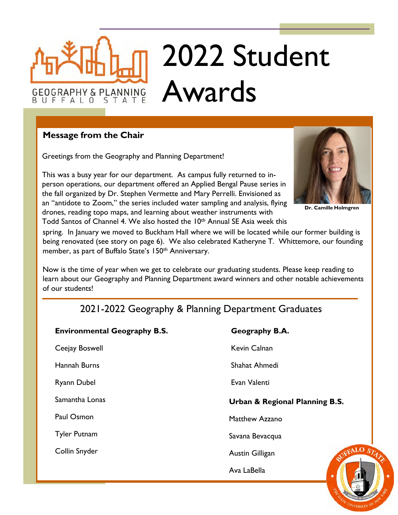# 2022 Student Awards

# **Message from the Chair**

**GEOGRAPHY & PLANNING** 

BUFFALO

Greetings from the Geography and Planning Department!

STATE

This was a busy year for our department. As campus fully returned to inperson operations, our department offered an Applied Bengal Pause series in the fall organized by Dr. Stephen Vermette and Mary Perrelli. Envisioned as an "antidote to Zoom," the series included water sampling and analysis, flying drones, reading topo maps, and learning about weather instruments with Todd Santos of Channel 4. We also hosted the 10<sup>th</sup> Annual SE Asia week this



**Dr. Camille Holmgren**

spring. In January we moved to Buckham Hall where we will be located while our former building is being renovated (see story on page 6). We also celebrated Katheryne T. Whittemore, our founding member, as part of Buffalo State's 150<sup>th</sup> Anniversary.

Now is the time of year when we get to celebrate our graduating students. Please keep reading to learn about our Geography and Planning Department award winners and other notable achievements of our students!

# 2021-2022 Geography & Planning Department Graduates

| <b>Environmental Geography B.S.</b> | Geography B.A.                 |
|-------------------------------------|--------------------------------|
| Ceejay Boswell                      | Kevin Calnan                   |
| Hannah Burns                        | Shahat Ahmedi                  |
| <b>Ryann Dubel</b>                  | Evan Valenti                   |
| Samantha Lonas                      | Urban & Regional Planning B.S. |
| Paul Osmon                          | Matthew Azzano                 |
| <b>Tyler Putnam</b>                 | Savana Bevacqua                |
| Collin Snyder                       | Austin Gilligan                |
|                                     | Ava LaBella                    |
|                                     |                                |

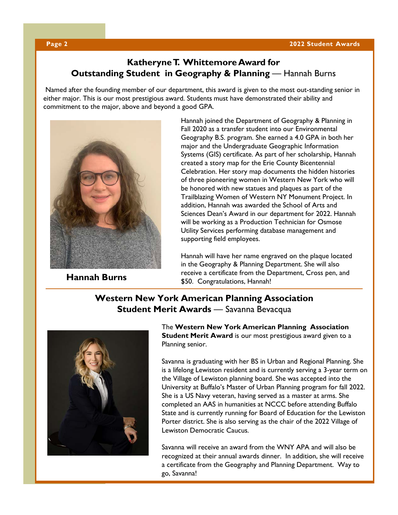# **Katheryne T. Whittemore Award for Outstanding Student in Geography & Planning** — Hannah Burns

Named after the founding member of our department, this award is given to the most out-standing senior in either major. This is our most prestigious award. Students must have demonstrated their ability and commitment to the major, above and beyond a good GPA.



Hannah joined the Department of Geography & Planning in Fall 2020 as a transfer student into our Environmental Geography B.S. program. She earned a 4.0 GPA in both her major and the Undergraduate Geographic Information Systems (GIS) certificate. As part of her scholarship, Hannah created a story map for the Erie County Bicentennial Celebration. Her story map documents the hidden histories of three pioneering women in Western New York who will be honored with new statues and plaques as part of the Trailblazing Women of Western NY Monument Project. In addition, Hannah was awarded the School of Arts and Sciences Dean's Award in our department for 2022. Hannah will be working as a Production Technician for Osmose Utility Services performing database management and supporting field employees.

Hannah will have her name engraved on the plaque located in the Geography & Planning Department. She will also **Hannah Burns**<br>\$50. Congratulations, Hannah!

# **Western New York American Planning Association Student Merit Awards** — Savanna Bevacqua



The **Western New York American Planning Association Student Merit Award** is our most prestigious award given to a Planning senior.

Savanna is graduating with her BS in Urban and Regional Planning. She is a lifelong Lewiston resident and is currently serving a 3-year term on the Village of Lewiston planning board. She was accepted into the University at Buffalo's Master of Urban Planning program for fall 2022. She is a US Navy veteran, having served as a master at arms. She completed an AAS in humanities at NCCC before attending Buffalo State and is currently running for Board of Education for the Lewiston Porter district. She is also serving as the chair of the 2022 Village of Lewiston Democratic Caucus.

Savanna will receive an award from the WNY APA and will also be recognized at their annual awards dinner. In addition, she will receive a certificate from the Geography and Planning Department. Way to go, Savanna!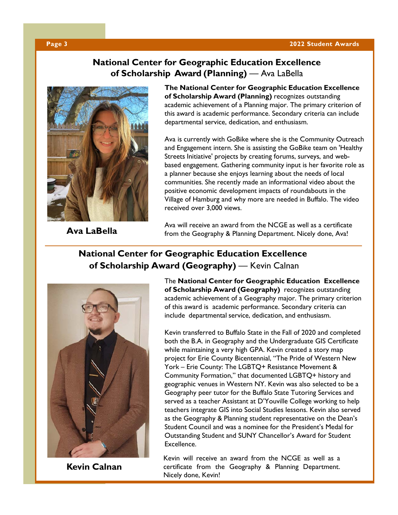## **Page 3 2022 Student Awards**

# **National Center for Geographic Education Excellence of Scholarship Award (Planning)** — Ava LaBella



**The National Center for Geographic Education Excellence of Scholarship Award (Planning)** recognizes outstanding academic achievement of a Planning major. The primary criterion of this award is academic performance. Secondary criteria can include departmental service, dedication, and enthusiasm.

Ava is currently with GoBike where she is the Community Outreach and Engagement intern. She is assisting the GoBike team on 'Healthy Streets Initiative' projects by creating forums, surveys, and webbased engagement. Gathering community input is her favorite role as a planner because she enjoys learning about the needs of local communities. She recently made an informational video about the positive economic development impacts of roundabouts in the Village of Hamburg and why more are needed in Buffalo. The video received over 3,000 views.

**Ava LaBella**

Ava will receive an award from the NCGE as well as a certificate from the Geography & Planning Department. Nicely done, Ava!

# **National Center for Geographic Education Excellence of Scholarship Award (Geography)** — Kevin Calnan



**Kevin Calnan**

The **National Center for Geographic Education Excellence of Scholarship Award (Geography)** recognizes outstanding academic achievement of a Geography major. The primary criterion of this award is academic performance. Secondary criteria can include departmental service, dedication, and enthusiasm.

Kevin transferred to Buffalo State in the Fall of 2020 and completed both the B.A. in Geography and the Undergraduate GIS Certificate while maintaining a very high GPA. Kevin created a story map project for Erie County Bicentennial, "The Pride of Western New York – Erie County: The LGBTQ+ Resistance Movement & Community Formation," that documented LGBTQ+ history and geographic venues in Western NY. Kevin was also selected to be a Geography peer tutor for the Buffalo State Tutoring Services and served as a teacher Assistant at D'Youville College working to help teachers integrate GIS into Social Studies lessons. Kevin also served as the Geography & Planning student representative on the Dean's Student Council and was a nominee for the President's Medal for Outstanding Student and SUNY Chancellor's Award for Student Excellence.

Kevin will receive an award from the NCGE as well as a certificate from the Geography & Planning Department. Nicely done, Kevin!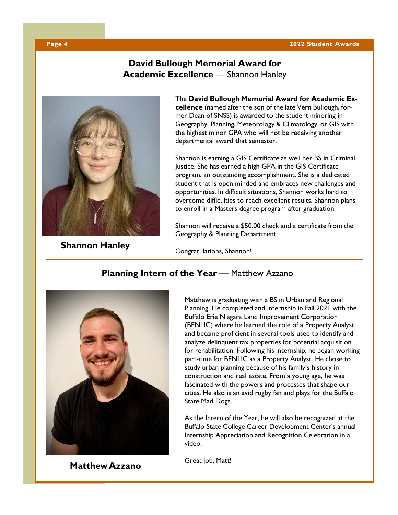## **Page 4 2022 Student Awards**

# **Pavid Bullough Memorial Award for Academic Excellence** — Shannon Hanley



**Shannon Hanley**

The **David Bullough Memorial Award for Academic Excellence** (named after the son of the late Vern Bullough, former Dean of SNSS) is awarded to the student minoring in Geography, Planning, Meteorology & Climatology, or GIS with the highest minor GPA who will not be receiving another departmental award that semester.

Shannon is earning a GIS Certificate as well her BS in Criminal Justice. She has earned a high GPA in the GIS Certificate program, an outstanding accomplishment. She is a dedicated student that is open minded and embraces new challenges and opportunities. In difficult situations, Shannon works hard to overcome difficulties to reach excellent results. Shannon plans to enroll in a Masters degree program after graduation.

Shannon will receive a \$50.00 check and a certificate from the Geography & Planning Department.

Congratulations, Shannon!



**Matthew Azzano**

# **Planning Intern of the Year** — Matthew Azzano

Matthew is graduating with a BS in Urban and Regional Planning. He completed and internship in Fall 2021 with the Buffalo Erie Niagara Land Improvement Corporation (BENLIC) where he learned the role of a Property Analyst and became proficient in several tools used to identify and analyze delinquent tax properties for potential acquisition for rehabilitation. Following his internship, he began working part-time for BENLIC as a Property Analyst. He chose to study urban planning because of his family's history in construction and real estate. From a young age, he was fascinated with the powers and processes that shape our cities. He also is an avid rugby fan and plays for the Buffalo State Mad Dogs.

As the Intern of the Year, he will also be recognized at the Buffalo State College Career Development Center's annual Internship Appreciation and Recognition Celebration in a video.

Great job, Matt!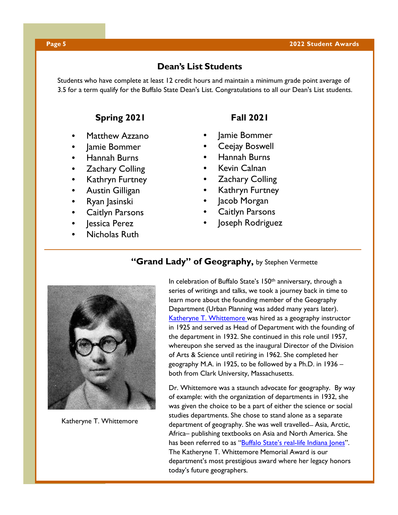## **Dean's List Students**

Students who have complete at least 12 credit hours and maintain a minimum grade point average of 3.5 for a term qualify for the Buffalo State Dean's List. Congratulations to all our Dean's List students.

# **Spring 2021 Fall 2021**

- Matthew Azzano
- Jamie Bommer
- Hannah Burns
- **Zachary Colling**
- Kathryn Furtney
- Austin Gilligan
- Ryan Jasinski
- **Caitlyn Parsons**
- lessica Perez
- Nicholas Ruth

- Jamie Bommer
- Ceejay Boswell
- Hannah Burns
- Kevin Calnan
- **Zachary Colling**
- Kathryn Furtney
- Jacob Morgan
- Caitlyn Parsons
- Joseph Rodriguez



Katheryne T. Whittemore

# **"Grand Lady" of Geography,** by Stephen Vermette

In celebration of Buffalo State's 150<sup>th</sup> anniversary, through a series of writings and talks, we took a journey back in time to learn more about the founding member of the Geography Department (Urban Planning was added many years later). [Katheryne T. Whittemore](https://geography.buffalostate.edu/sites/geography.buffalostate.edu/files/uploads/Documents/Whittemore/Whittemore%20Web%20Page.pdf) was hired as a geography instructor in 1925 and served as Head of Department with the founding of the department in 1932. She continued in this role until 1957, whereupon she served as the inaugural Director of the Division of Arts & Science until retiring in 1962. She completed her geography M.A. in 1925, to be followed by a Ph.D. in 1936 – both from Clark University, Massachusetts.

Dr. Whittemore was a staunch advocate for geography. By way of example: with the organization of departments in 1932, she was given the choice to be a part of either the science or social studies departments. She chose to stand alone as a separate department of geography. She was well travelled – Asia, Arctic, Africa– publishing textbooks on Asia and North America. She has been referred to as ["Buffalo State's real-life Indiana Jones"](https://suny.buffalostate.edu/news/founding-mothers). The Katheryne T. Whittemore Memorial Award is our department's most prestigious award where her legacy honors today's future geographers.